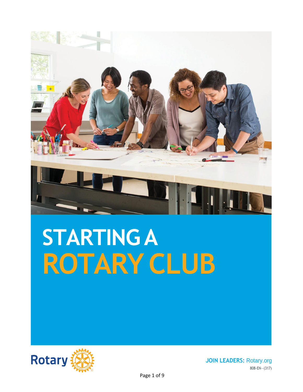

# **STARTINGA ROTARY CLUB**



**JOIN LEADERS:** Rotary.org 808-EN—(317)

Page 1 of 9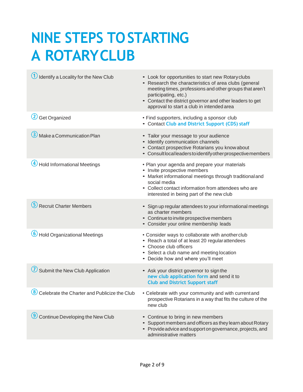## **NINE STEPS TOSTARTING A ROTARYCLUB**

| Identify a Locality for the New Club                                   | • Look for opportunities to start new Rotary clubs<br>• Research the characteristics of area clubs (general<br>meeting times, professions and other groups that aren't<br>participating, etc.)<br>• Contact the district governor and other leaders to get<br>approval to start a club in intended area |
|------------------------------------------------------------------------|---------------------------------------------------------------------------------------------------------------------------------------------------------------------------------------------------------------------------------------------------------------------------------------------------------|
| 2 Get Organized                                                        | • Find supporters, including a sponsor club<br>• Contact Club and District Support (CDS) staff                                                                                                                                                                                                          |
| Make a Communication Plan                                              | • Tailor your message to your audience<br>• Identify communication channels<br>• Contact prospective Rotarians you know about<br>• Consult local leaders to identify other prospective members                                                                                                          |
| <b>Hold Informational Meetings</b>                                     | • Plan your agenda and prepare your materials<br>• Invite prospective members<br>• Market informational meetings through traditional and<br>social media<br>• Collect contact information from attendees who are<br>interested in being part of the new club                                            |
| <b>Recruit Charter Members</b>                                         | • Sign up regular attendees to your informational meetings<br>as charter members<br>• Continue to invite prospective members<br>• Consider your online membership leads                                                                                                                                 |
| 6 Hold Organizational Meetings                                         | • Consider ways to collaborate with another club<br>• Reach a total of at least 20 regularattendees<br>• Choose club officers<br>• Select a club name and meeting location<br>• Decide how and where you'll meet                                                                                        |
| Submit the New Club Application                                        | • Ask your district governor to sign the<br>new club application form and send it to<br><b>Club and District Support staff</b>                                                                                                                                                                          |
| $\left( \bf{8}\right)$<br>Celebrate the Charter and Publicize the Club | • Celebrate with your community and with current and<br>prospective Rotarians in a way that fits the culture of the<br>new club                                                                                                                                                                         |
| Continue Developing the New Club                                       | • Continue to bring in new members<br>• Support members and officers as they learn about Rotary<br>• Provide advice and support on governance, projects, and<br>administrative matters                                                                                                                  |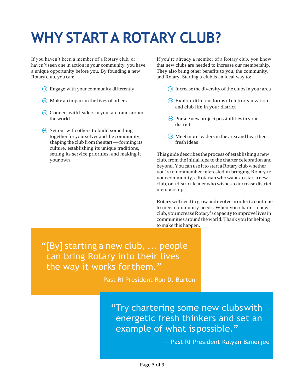## **WHY STARTA ROTARY CLUB?**

If you haven't been a member of a Rotary club, or haven't seen one in action in your community, you have a unique opportunity before you. By founding a new Rotary club, you can:

- $\Theta$  Engage with your community differently
- $\Theta$  Make an impact in the lives of others
- $\ominus$  Connect with leaders in your area and around the world

 $\Theta$  Set out with others to build something together for yourselves and the community, shaping the club from the start—forming its culture, establishing its unique traditions, setting its service priorities, and making it your own

If you're already a member of a Rotary club, you know that new clubs are needed to increase our membership. They also bring other benefits to you, the community, and Rotary. Starting a club is an ideal way to:

- $\ominus$  Increase the diversity of the clubs in your area
- $\ominus$  Explore different forms of club organization and club life in your district
- $\Theta$  Pursue new project possibilities in your district
- $\Theta$  Meet more leaders in the area and hear their fresh ideas

This guide describes the process of establishing a new club, from the initial idea to the charter celebration and beyond.Youcan use it to start aRotary club whether you're a nonmember interested in bringing Rotary to your community, a Rotarian who wants to start a new club, or a district leader who wishesto increase district membership.

Rotarywillneedtogrowandevolve inordertocontinue to meet community needs. When you charter a new club,youincreaseRotary'scapacitytoimprovelivesin communities around theworld.Thank youfor helping to make this happen.

"[By] starting a new club, ... people can bring Rotary into their lives the way it works forthem."

— Past RI President Ron D. Burton

"Try chartering some new clubswith energetic fresh thinkers and set an example of what is possible."

— Past RI President Kalyan Banerjee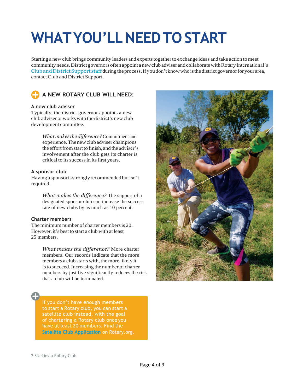## **WHATYOU'LLNEEDTO START**

Starting a new club brings community leaders and experts together to exchange ideas and take action to meet community needs. District governors often appoint a new club adviser and collaborate with Rotary International's Club and District Support staff during the process. If you don't know who is the district governor for your area, contact Club and District Support.



## **A NEW ROTARY CLUB WILL NEED:**

### **A new club adviser**

Typically, the district governor appoints a new clubadviser orworkswiththedistrict's newclub development committee.

> *Whatmakes thedifference?*Commitment and experience.Thenewclubadviser champions the effort from start to finish, and the adviser's involvement after the club gets its charter is critical to its success in its first years.

### **A sponsor club**

Havingasponsorisstronglyrecommendedbutisn't required.

> *What makes the difference?* The support of a designated sponsor club can increase the success rate of new clubs by as much as 10 percent.

### **Charter members**

The minimum number of charter members is 20. However, it's best to start a club with at least 25 members.

> *What makes the difference?* More charter members. Our records indicate that the more members a club starts with, the more likely it is to succeed. Increasing the number of charter members by just five significantly reduces the risk that a club will be terminated.

If you don't have enough members to start a Rotary club, you can start a satellite club instead, with the goal of chartering a Rotary club once you **[Satellite Club Application](https://www.rotary.org/myrotary/en/document/satellite-club-application)** on Rotary.org.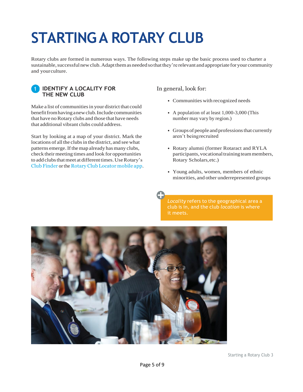## **STARTINGA ROTARY CLUB**

Rotary clubs are formed in numerous ways. The following steps make up the basic process used to charter a sustainable, successful new club. Adapt them as needed so that they're relevant and appropriate for your community and yourculture.



Make a list of communities in your district that could benefitfromhavinganewclub.Includecommunities that have no Rotary clubs and those that have needs that additional vibrant clubs could address.

Start by looking at a map of your district. Mark the locations of all the clubs in the district, and see what patterns emerge. If the map already has many clubs, check their meeting times and look for opportunities to add clubs that meet at different times. Use Rotary's Club [Finder](https://www.rotary.org/myrotary/en/search/club-finder) or the Rotary Club [Locator](https://www.rotary.org/myrotary/en/manage/community-marketplace/official-rotary-apps) mobile app. In general, look for:

- Communities with recognized needs
- A population of at least 1,000-3,000 (This number may vary by region.)
- Groups of people and professions that currently aren't beingrecruited
- Rotary alumni (former Rotaract and RYLA participants, vocational training team members, Rotary Scholars,etc.)
- Young adults, women, members of ethnic minorities, and other underrepresented groups

*Locality* refers to the geographical area a club is in, and the club *location* is where it meets.

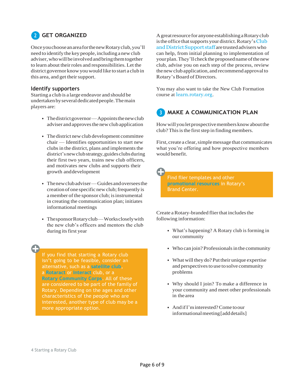## **GET ORGANIZED 2**

OnceyouchooseanareaforthenewRotaryclub,you'll need to identify the key people, including a new club adviser,whowillbeinvolvedandbringthemtogether to learn about their roles and responsibilities. Let the district governor knowyouwould like to start a club in this area, and get their support.

### **Identify supporters**

Starting a club is a large endeavor and should be undertakenbyseveraldedicatedpeople.Themain players are:

- The district governor—Appoints the new club adviser andapprovesthe newclubapplication
- The district newclub development committee chair — Identifies opportunities to start new clubs in the district, plans and implements the district's new club strategy, guides clubs during their first two years, trains new club officers, and motivates new clubs and supports their growth anddevelopment
- Thenewclubadviser—Guidesandoverseesthe creation of one specific new club; frequently is a member of the sponsor club; is instrumental in creating the communication plan; initiates informational meetings
- ThesponsorRotaryclub—Workscloselywith the new club's officers and mentors the club during its first year

If you find that starting a Rotary club isn't going to be feasible, consider an alternative, such as a **[satellite club](https://my.rotary.org/en/document/satellite-club-frequently-asked-questions)**, a **[Rotaract](https://www.rotary.org/get-involved/rotaract-clubs)** or **[Interact](https://my.rotary.org/en/learning-reference/learn-topic/interact)** club, or a **[Rotary Community Corps](https://www.rotary.org/en/our-programs/rotary-community-corps)**. All of these are considered to be part of the family of Rotary. Depending on the ages and other characteristics of the people who are interested, another type of club may be a more appropriate option.

Agreatresource for anyone establishing aRotaryclub is the office that supports your district. Rotary's [Club](http://www.rotary.org/cds) and District Support staff are trusted advisers who can help, from initial planning to implementation of your plan. They'll check the proposed name of the new club, advise you on each step of the process, review the new club application, and recommend approval to Rotary's Board of Directors.

You may also want to take the New Club Formation course at [learn.rotary.org](http://learn.rotary.org/).

## **B** MAKE A COMMUNICATION PLAN

How will you let prospective members know about the club? This is the first step in finding members.

First, create a clear, simple message that communicates what you're offering and how prospective members would benefit.

Find flier templates and other **[promotional resources](https://brandcenter.rotary.org/en-GB/Materials/Promotional-Resources)** in Rotary's Brand Center.

Create a Rotary-branded flier that includes the following information:

- What's happening? A Rotary club is forming in our community
- Who can join? Professionals in the community
- What will they do? Put their unique expertise and perspectives to use to solve community problems
- Why should I join? To make a difference in your community and meet other professionals in the area
- And if I'm interested? Come to our informational meeting [add details]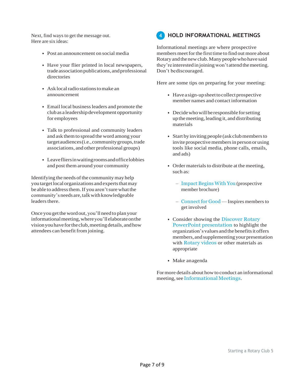Next, find ways to get the message out. Here are six ideas:

- Post an announcement on social media
- Have your flier printed in local newspapers, trade association publications, and professional directories
- Ask local radio stations to make an announcement
- Email local business leaders and promote the clubas a leadership development opportunity for employees
- Talk to professional and community leaders and ask themto spread the word among your targetaudiences(i.e.,communitygroups,trade associations, and other professional groups)
- Leavefliersinwaitingroomsandofficelobbies and post them around your community

Identifying the needs of the community may help you target local organizations and experts that may be able to address them. If you aren't sure what the community'sneedsare,talkwithknowledgeable leaders there.

Once you get the word out, you'll need to plan your informationalmeeting,whereyou'llelaborateonthe visionyouhavefortheclub,meetingdetails,andhow attendees can benefit from joining.

#### **HOLD INFORMATIONAL MEETINGS 4**

Informational meetings are where prospective members meet for the first time to find out more about Rotaryandthenewclub.Manypeoplewhohave said they're interested in joining won't attend the meeting. Don't bediscouraged.

Here are some tips on preparing for your meeting:

- Have a sign-up sheet to collect prospective member names and contact information
- $\bullet$  Decide who will be responsible for setting upthemeeting,leading it, and distributing materials
- Start by inviting people (ask club members to invite prospective members in person or using tools like social media, phone calls, emails, and ads)
- Order materials to distribute at the meeting, such as:
	- [Impact](https://shop.rotary.org/prospective-member-brochure-impact-begins-with-you-english-set-of-5) Begins With You (prospective member brochure)
	- [Connect](https://shop.rotary.org/connect-for-good-595) for Good Inspires members to get involved
- Consider showing the [Discover Rotary](https://www.rotary.org/myrotary/en/document/discover-rotary) [PowerPoint presentation](https://www.rotary.org/myrotary/en/document/discover-rotary) to highlight the organization's values and the benefits it offers members, and supplementing your presentation with Rotary videos or other materials as appropriate
- Make anagenda

Formore details about howto conduct an informational meeting, see [Informational](https://www.rotary.org/myrotary/en/document/informational-meetings) Meetings.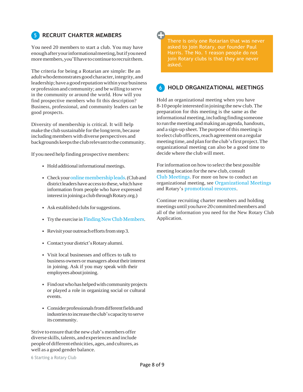#### **RECRUIT CHARTER MEMBERS 5**

You need 20 members to start a club. You may have enoughafteryourinformationalmeeting,butifyouneed more members, you'll have to continue to recruit them.

The criteria for being a Rotarian are simple: Be an adult who demonstrates good character, integrity, and leadership; have a good reputation within your business or profession and community; and bewilling to serve in the community or around the world. How will you find prospective members who fit this description? Business, professional, and community leaders can be good prospects.

Diversity of membership is critical. It will help make the club sustainable forthe long term, because including members with diverse perspectives and backgroundskeepstheclubrelevanttothecommunity.

If you need help finding prospective members:

- Hold additional informational meetings.
- Check your online membership leads. (Club and district leaders have access to these, which have information from people who have expressed interest in joining a club through Rotary.org.)
- Ask established clubs for suggestions.
- Try the exercise in Finding New Club Members.
- Revisityour outreach efforts from step 3.
- Contact your district's Rotary alumni.
- Visit local businesses and offices to talk to business owners or managers about their interest in joining. Ask if you may speak with their employees about joining.
- Find out who has helped with community projects or played a role in organizing social or cultural events.
- Considerprofessionalsfromdifferentfieldsand industriestoincreasetheclub'scapacitytoserve itscommunity.

Strive to ensure that the new club's members offer diverse skills,talents, andexperiences and include peopleofdifferentethnicities,ages,andcultures,as well as a good gender balance.

6 Starting a Rotary Club

There is only one Rotarian that was never asked to join Rotary, our founder Paul Harris. The No. 1 reason people do not join Rotary clubs is that they are never asked.

#### **HOLD ORGANIZATIONAL MEETINGS 6**

Hold an organizational meeting when you have 8-10 people interested injoining the newclub.The preparation for this meeting is the same as the informational meeting, including finding someone to run themeeting andmaking an agenda, handouts, and a sign-up sheet. The purpose of this meeting is to elect club officers, reach agreement on a regular meeting time, and plan for the club's first project. The organizational meeting can also be a good time to decide where the club will meet.

Forinformation on howto select the best possible meeting location forthe new club, consult [Club Meetings](https://my.rotary.org/en/document/meeting-locations). For more on how to conduct an organizational meeting, see [Organizational Meetings](https://www.rotary.org/myrotary/en/document/organizational-meetings) and Rotary's [promotional resources](https://brandcenter.rotary.org/en-GB/Materials/Promotional-Resources).

Continue recruiting charter members and holding meetings until youhave20committedmembers and all of the information you need for the New Rotary Club Application.